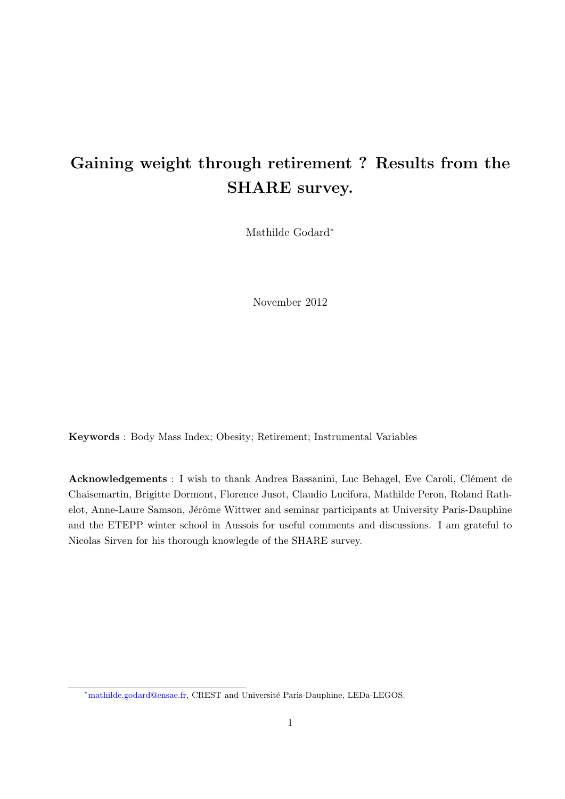# Gaining weight through retirement ? Results from the SHARE survey.

Mathilde Godard<sup>∗</sup>

November 2012

Keywords : Body Mass Index; Obesity; Retirement; Instrumental Variables

Acknowledgements : I wish to thank Andrea Bassanini, Luc Behagel, Eve Caroli, Clément de Chaisemartin, Brigitte Dormont, Florence Jusot, Claudio Lucifora, Mathilde Peron, Roland Rathelot, Anne-Laure Samson, Jérôme Wittwer and seminar participants at University Paris-Dauphine and the ETEPP winter school in Aussois for useful comments and discussions. I am grateful to Nicolas Sirven for his thorough knowlegde of the SHARE survey.

<sup>\*</sup>mathilde.godard@ensae.fr, CREST and Université Paris-Dauphine, LEDa-LEGOS.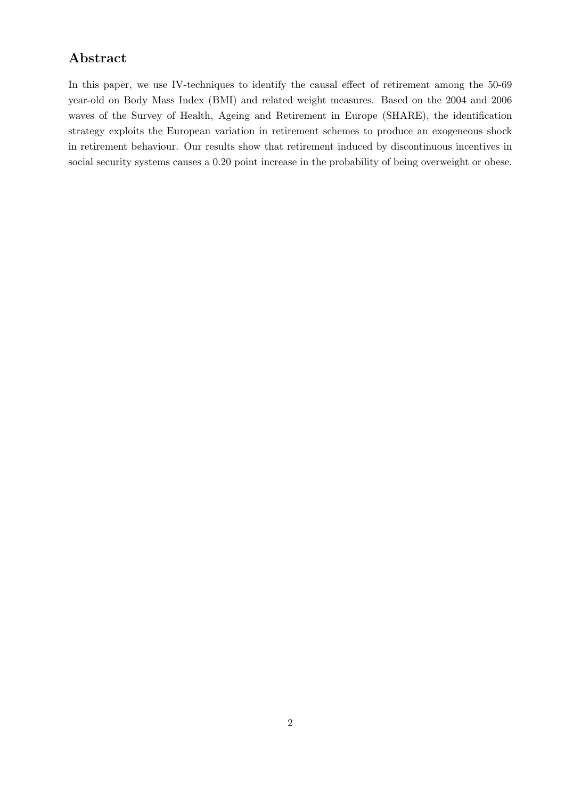# Abstract

In this paper, we use IV-techniques to identify the causal effect of retirement among the 50-69 year-old on Body Mass Index (BMI) and related weight measures. Based on the 2004 and 2006 waves of the Survey of Health, Ageing and Retirement in Europe (SHARE), the identification strategy exploits the European variation in retirement schemes to produce an exogeneous shock in retirement behaviour. Our results show that retirement induced by discontinuous incentives in social security systems causes a 0.20 point increase in the probability of being overweight or obese.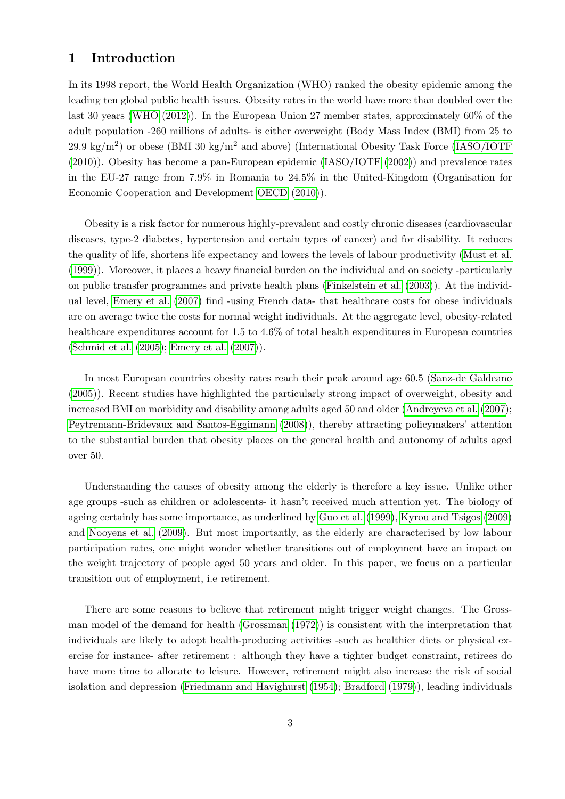## 1 Introduction

In its 1998 report, the World Health Organization (WHO) ranked the obesity epidemic among the leading ten global public health issues. Obesity rates in the world have more than doubled over the last 30 years [\(WHO](#page-15-0) [\(2012\)](#page-15-0)). In the European Union 27 member states, approximately 60% of the adult population -260 millions of adults- is either overweight (Body Mass Index (BMI) from 25 to 29.9 kg/m<sup>2</sup>) or obese (BMI 30 kg/m<sup>2</sup> and above) (International Obesity Task Force [\(IASO/IOTF](#page-13-0) [\(2010\)](#page-13-0)). Obesity has become a pan-European epidemic [\(IASO/IOTF](#page-13-1) [\(2002\)](#page-13-1)) and prevalence rates in the EU-27 range from 7.9% in Romania to 24.5% in the United-Kingdom (Organisation for Economic Cooperation and Development [OECD](#page-14-0) [\(2010\)](#page-14-0)).

Obesity is a risk factor for numerous highly-prevalent and costly chronic diseases (cardiovascular diseases, type-2 diabetes, hypertension and certain types of cancer) and for disability. It reduces the quality of life, shortens life expectancy and lowers the levels of labour productivity [\(Must et al.](#page-14-1) [\(1999\)](#page-14-1)). Moreover, it places a heavy financial burden on the individual and on society -particularly on public transfer programmes and private health plans [\(Finkelstein et al.](#page-13-2) [\(2003\)](#page-13-2)). At the individual level, [Emery et al.](#page-12-0) [\(2007\)](#page-12-0) find -using French data- that healthcare costs for obese individuals are on average twice the costs for normal weight individuals. At the aggregate level, obesity-related healthcare expenditures account for 1.5 to 4.6% of total health expenditures in European countries [\(Schmid et al.](#page-15-1) [\(2005\)](#page-15-1); [Emery et al.](#page-12-0) [\(2007\)](#page-12-0)).

In most European countries obesity rates reach their peak around age 60.5 [\(Sanz-de Galdeano](#page-14-2) [\(2005\)](#page-14-2)). Recent studies have highlighted the particularly strong impact of overweight, obesity and increased BMI on morbidity and disability among adults aged 50 and older [\(Andreyeva et al.](#page-12-1) [\(2007\)](#page-12-1); [Peytremann-Bridevaux and Santos-Eggimann](#page-14-3) [\(2008\)](#page-14-3)), thereby attracting policymakers' attention to the substantial burden that obesity places on the general health and autonomy of adults aged over 50.

Understanding the causes of obesity among the elderly is therefore a key issue. Unlike other age groups -such as children or adolescents- it hasn't received much attention yet. The biology of ageing certainly has some importance, as underlined by [Guo et al.](#page-13-3) [\(1999\)](#page-13-3), [Kyrou and Tsigos](#page-13-4) [\(2009\)](#page-13-4) and [Nooyens et al.](#page-14-4) [\(2009\)](#page-14-4). But most importantly, as the elderly are characterised by low labour participation rates, one might wonder whether transitions out of employment have an impact on the weight trajectory of people aged 50 years and older. In this paper, we focus on a particular transition out of employment, i.e retirement.

There are some reasons to believe that retirement might trigger weight changes. The Grossman model of the demand for health [\(Grossman](#page-13-5) [\(1972\)](#page-13-5)) is consistent with the interpretation that individuals are likely to adopt health-producing activities -such as healthier diets or physical exercise for instance- after retirement : although they have a tighter budget constraint, retirees do have more time to allocate to leisure. However, retirement might also increase the risk of social isolation and depression [\(Friedmann and Havighurst](#page-13-6) [\(1954\)](#page-13-6); [Bradford](#page-12-2) [\(1979\)](#page-12-2)), leading individuals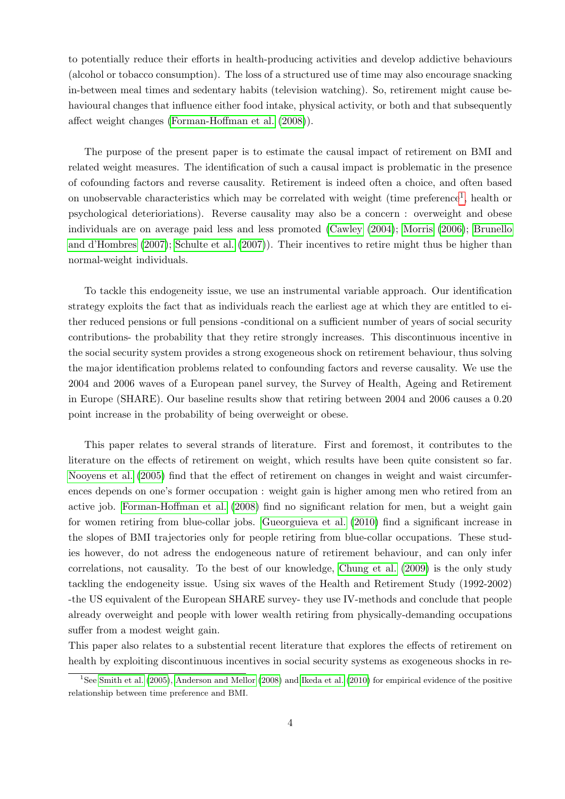to potentially reduce their efforts in health-producing activities and develop addictive behaviours (alcohol or tobacco consumption). The loss of a structured use of time may also encourage snacking in-between meal times and sedentary habits (television watching). So, retirement might cause behavioural changes that influence either food intake, physical activity, or both and that subsequently affect weight changes [\(Forman-Hoffman et al.](#page-13-7) [\(2008\)](#page-13-7)).

The purpose of the present paper is to estimate the causal impact of retirement on BMI and related weight measures. The identification of such a causal impact is problematic in the presence of cofounding factors and reverse causality. Retirement is indeed often a choice, and often based on unobservable characteristics which may be correlated with weight (time preference<sup>[1](#page-3-0)</sup>, health or psychological deterioriations). Reverse causality may also be a concern : overweight and obese individuals are on average paid less and less promoted [\(Cawley](#page-12-3) [\(2004\)](#page-12-3); [Morris](#page-14-5) [\(2006\)](#page-14-5); [Brunello](#page-12-4) [and d'Hombres](#page-12-4) [\(2007\)](#page-12-4); [Schulte et al.](#page-15-2) [\(2007\)](#page-15-2)). Their incentives to retire might thus be higher than normal-weight individuals.

To tackle this endogeneity issue, we use an instrumental variable approach. Our identification strategy exploits the fact that as individuals reach the earliest age at which they are entitled to either reduced pensions or full pensions -conditional on a sufficient number of years of social security contributions- the probability that they retire strongly increases. This discontinuous incentive in the social security system provides a strong exogeneous shock on retirement behaviour, thus solving the major identification problems related to confounding factors and reverse causality. We use the 2004 and 2006 waves of a European panel survey, the Survey of Health, Ageing and Retirement in Europe (SHARE). Our baseline results show that retiring between 2004 and 2006 causes a 0.20 point increase in the probability of being overweight or obese.

This paper relates to several strands of literature. First and foremost, it contributes to the literature on the effects of retirement on weight, which results have been quite consistent so far. [Nooyens et al.](#page-14-6) [\(2005\)](#page-14-6) find that the effect of retirement on changes in weight and waist circumferences depends on one's former occupation : weight gain is higher among men who retired from an active job. [Forman-Hoffman et al.](#page-13-7) [\(2008\)](#page-13-7) find no significant relation for men, but a weight gain for women retiring from blue-collar jobs. [Gueorguieva et al.](#page-13-8) [\(2010\)](#page-13-8) find a significant increase in the slopes of BMI trajectories only for people retiring from blue-collar occupations. These studies however, do not adress the endogeneous nature of retirement behaviour, and can only infer correlations, not causality. To the best of our knowledge, [Chung et al.](#page-12-5) [\(2009\)](#page-12-5) is the only study tackling the endogeneity issue. Using six waves of the Health and Retirement Study (1992-2002) -the US equivalent of the European SHARE survey- they use IV-methods and conclude that people already overweight and people with lower wealth retiring from physically-demanding occupations suffer from a modest weight gain.

This paper also relates to a substential recent literature that explores the effects of retirement on health by exploiting discontinuous incentives in social security systems as exogeneous shocks in re-

<span id="page-3-0"></span><sup>1</sup>See [Smith et al.](#page-15-3) [\(2005\)](#page-15-3), [Anderson and Mellor](#page-12-6) [\(2008\)](#page-12-6) and [Ikeda et al.](#page-13-9) [\(2010\)](#page-13-9) for empirical evidence of the positive relationship between time preference and BMI.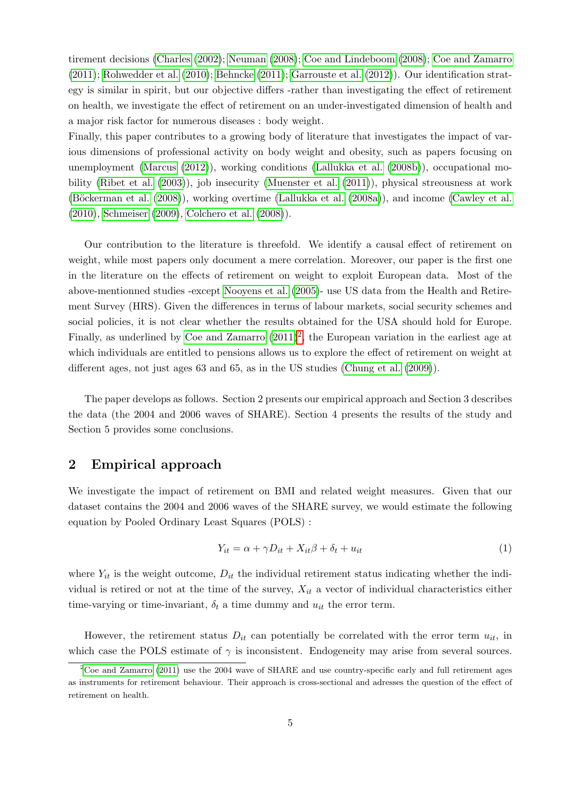tirement decisions [\(Charles](#page-12-7) [\(2002\)](#page-12-7); [Neuman](#page-14-7) [\(2008\)](#page-14-7); [Coe and Lindeboom](#page-12-8) [\(2008\)](#page-12-8); [Coe and Zamarro](#page-12-9) [\(2011\)](#page-12-9); [Rohwedder et al.](#page-14-8) [\(2010\)](#page-14-8); [Behncke](#page-12-10) [\(2011\)](#page-12-10); [Garrouste et al.](#page-13-10) [\(2012\)](#page-13-10)). Our identification strategy is similar in spirit, but our objective differs -rather than investigating the effect of retirement on health, we investigate the effect of retirement on an under-investigated dimension of health and a major risk factor for numerous diseases : body weight.

Finally, this paper contributes to a growing body of literature that investigates the impact of various dimensions of professional activity on body weight and obesity, such as papers focusing on unemployment [\(Marcus](#page-14-9) [\(2012\)](#page-14-9)), working conditions [\(Lallukka et al.](#page-13-11) [\(2008b\)](#page-13-11)), occupational mobility [\(Ribet et al.](#page-14-10) [\(2003\)](#page-14-10)), job insecurity [\(Muenster et al.](#page-14-11) [\(2011\)](#page-14-11)), physical streousness at work (Böckerman et al. [\(2008\)](#page-12-11)), working overtime [\(Lallukka et al.](#page-13-12) [\(2008a\)](#page-13-12)), and income [\(Cawley et al.](#page-12-12) [\(2010\)](#page-12-12), [Schmeiser](#page-14-12) [\(2009\)](#page-14-12), [Colchero et al.](#page-12-13) [\(2008\)](#page-12-13)).

Our contribution to the literature is threefold. We identify a causal effect of retirement on weight, while most papers only document a mere correlation. Moreover, our paper is the first one in the literature on the effects of retirement on weight to exploit European data. Most of the above-mentionned studies -except [Nooyens et al.](#page-14-6) [\(2005\)](#page-14-6)- use US data from the Health and Retirement Survey (HRS). Given the differences in terms of labour markets, social security schemes and social policies, it is not clear whether the results obtained for the USA should hold for Europe. Finally, as underlined by [Coe and Zamarro](#page-12-9)  $(2011)^2$  $(2011)^2$  $(2011)^2$ , the European variation in the earliest age at which individuals are entitled to pensions allows us to explore the effect of retirement on weight at different ages, not just ages 63 and 65, as in the US studies [\(Chung et al.](#page-12-5) [\(2009\)](#page-12-5)).

The paper develops as follows. Section 2 presents our empirical approach and Section 3 describes the data (the 2004 and 2006 waves of SHARE). Section 4 presents the results of the study and Section 5 provides some conclusions.

## 2 Empirical approach

We investigate the impact of retirement on BMI and related weight measures. Given that our dataset contains the 2004 and 2006 waves of the SHARE survey, we would estimate the following equation by Pooled Ordinary Least Squares (POLS) :

$$
Y_{it} = \alpha + \gamma D_{it} + X_{it}\beta + \delta_t + u_{it}
$$
\n<sup>(1)</sup>

where  $Y_{it}$  is the weight outcome,  $D_{it}$  the individual retirement status indicating whether the individual is retired or not at the time of the survey,  $X_{it}$  a vector of individual characteristics either time-varying or time-invariant,  $\delta_t$  a time dummy and  $u_{it}$  the error term.

However, the retirement status  $D_{it}$  can potentially be correlated with the error term  $u_{it}$ , in which case the POLS estimate of  $\gamma$  is inconsistent. Endogeneity may arise from several sources.

<span id="page-4-0"></span> $2^2$ [Coe and Zamarro](#page-12-9) [\(2011\)](#page-12-9) use the 2004 wave of SHARE and use country-specific early and full retirement ages as instruments for retirement behaviour. Their approach is cross-sectional and adresses the question of the effect of retirement on health.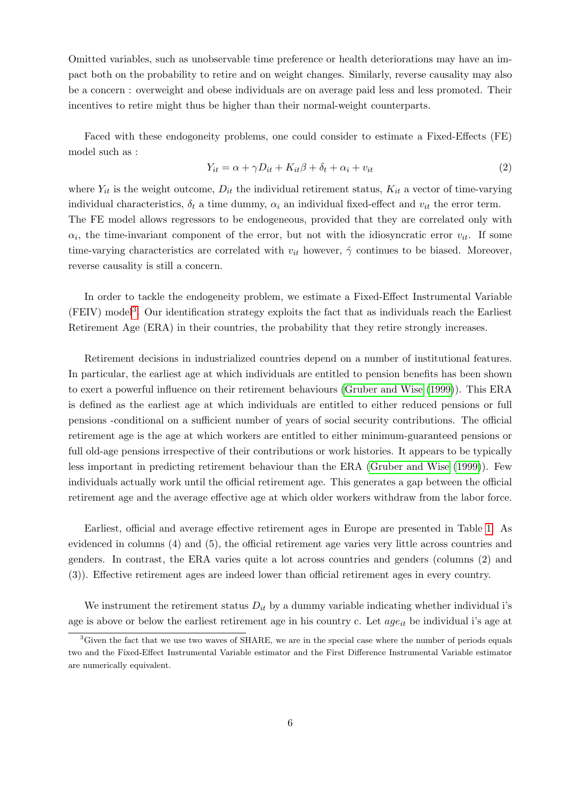Omitted variables, such as unobservable time preference or health deteriorations may have an impact both on the probability to retire and on weight changes. Similarly, reverse causality may also be a concern : overweight and obese individuals are on average paid less and less promoted. Their incentives to retire might thus be higher than their normal-weight counterparts.

Faced with these endogoneity problems, one could consider to estimate a Fixed-Effects (FE) model such as :

$$
Y_{it} = \alpha + \gamma D_{it} + K_{it}\beta + \delta_t + \alpha_i + v_{it}
$$
\n<sup>(2)</sup>

where  $Y_{it}$  is the weight outcome,  $D_{it}$  the individual retirement status,  $K_{it}$  a vector of time-varying individual characteristics,  $\delta_t$  a time dummy,  $\alpha_i$  an individual fixed-effect and  $v_{it}$  the error term. The FE model allows regressors to be endogeneous, provided that they are correlated only with  $\alpha_i$ , the time-invariant component of the error, but not with the idiosyncratic error  $v_{it}$ . If some time-varying characteristics are correlated with  $v_{it}$  however,  $\hat{\gamma}$  continues to be biased. Moreover, reverse causality is still a concern.

In order to tackle the endogeneity problem, we estimate a Fixed-Effect Instrumental Variable (FEIV) model<sup>[3](#page-5-0)</sup>. Our identification strategy exploits the fact that as individuals reach the Earliest Retirement Age (ERA) in their countries, the probability that they retire strongly increases.

Retirement decisions in industrialized countries depend on a number of institutional features. In particular, the earliest age at which individuals are entitled to pension benefits has been shown to exert a powerful influence on their retirement behaviours [\(Gruber and Wise](#page-13-13) [\(1999\)](#page-13-13)). This ERA is defined as the earliest age at which individuals are entitled to either reduced pensions or full pensions -conditional on a sufficient number of years of social security contributions. The official retirement age is the age at which workers are entitled to either minimum-guaranteed pensions or full old-age pensions irrespective of their contributions or work histories. It appears to be typically less important in predicting retirement behaviour than the ERA [\(Gruber and Wise](#page-13-13) [\(1999\)](#page-13-13)). Few individuals actually work until the official retirement age. This generates a gap between the official retirement age and the average effective age at which older workers withdraw from the labor force.

Earliest, official and average effective retirement ages in Europe are presented in Table [1.](#page-16-0) As evidenced in columns (4) and (5), the official retirement age varies very little across countries and genders. In contrast, the ERA varies quite a lot across countries and genders (columns (2) and (3)). Effective retirement ages are indeed lower than official retirement ages in every country.

We instrument the retirement status  $D_{it}$  by a dummy variable indicating whether individual i's age is above or below the earliest retirement age in his country c. Let  $age_{it}$  be individual i's age at

<span id="page-5-0"></span><sup>&</sup>lt;sup>3</sup>Given the fact that we use two waves of SHARE, we are in the special case where the number of periods equals two and the Fixed-Effect Instrumental Variable estimator and the First Difference Instrumental Variable estimator are numerically equivalent.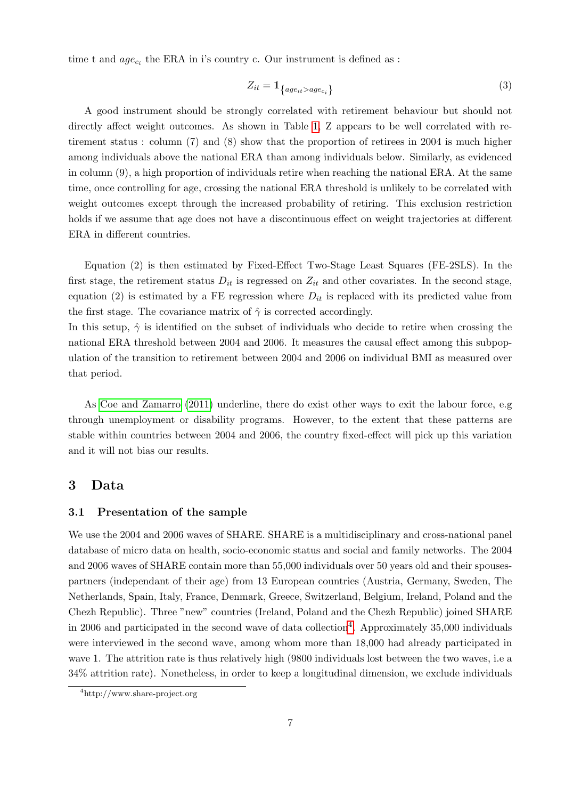time t and  $age_{c_i}$  the ERA in i's country c. Our instrument is defined as :

$$
Z_{it} = 1_{\{age_{it} > age_{c_i}\}}\tag{3}
$$

A good instrument should be strongly correlated with retirement behaviour but should not directly affect weight outcomes. As shown in Table [1,](#page-16-0) Z appears to be well correlated with retirement status : column (7) and (8) show that the proportion of retirees in 2004 is much higher among individuals above the national ERA than among individuals below. Similarly, as evidenced in column (9), a high proportion of individuals retire when reaching the national ERA. At the same time, once controlling for age, crossing the national ERA threshold is unlikely to be correlated with weight outcomes except through the increased probability of retiring. This exclusion restriction holds if we assume that age does not have a discontinuous effect on weight trajectories at different ERA in different countries.

Equation (2) is then estimated by Fixed-Effect Two-Stage Least Squares (FE-2SLS). In the first stage, the retirement status  $D_{it}$  is regressed on  $Z_{it}$  and other covariates. In the second stage, equation (2) is estimated by a FE regression where  $D_{it}$  is replaced with its predicted value from the first stage. The covariance matrix of  $\hat{\gamma}$  is corrected accordingly.

In this setup,  $\hat{\gamma}$  is identified on the subset of individuals who decide to retire when crossing the national ERA threshold between 2004 and 2006. It measures the causal effect among this subpopulation of the transition to retirement between 2004 and 2006 on individual BMI as measured over that period.

As [Coe and Zamarro](#page-12-9) [\(2011\)](#page-12-9) underline, there do exist other ways to exit the labour force, e.g through unemployment or disability programs. However, to the extent that these patterns are stable within countries between 2004 and 2006, the country fixed-effect will pick up this variation and it will not bias our results.

## 3 Data

#### 3.1 Presentation of the sample

We use the 2004 and 2006 waves of SHARE. SHARE is a multidisciplinary and cross-national panel database of micro data on health, socio-economic status and social and family networks. The 2004 and 2006 waves of SHARE contain more than 55,000 individuals over 50 years old and their spousespartners (independant of their age) from 13 European countries (Austria, Germany, Sweden, The Netherlands, Spain, Italy, France, Denmark, Greece, Switzerland, Belgium, Ireland, Poland and the Chezh Republic). Three "new" countries (Ireland, Poland and the Chezh Republic) joined SHARE in 2006 and participated in the second wave of data collection<sup>[4](#page-6-0)</sup>. Approximately 35,000 individuals were interviewed in the second wave, among whom more than 18,000 had already participated in wave 1. The attrition rate is thus relatively high (9800 individuals lost between the two waves, i.e a 34% attrition rate). Nonetheless, in order to keep a longitudinal dimension, we exclude individuals

<span id="page-6-0"></span><sup>4</sup>http://www.share-project.org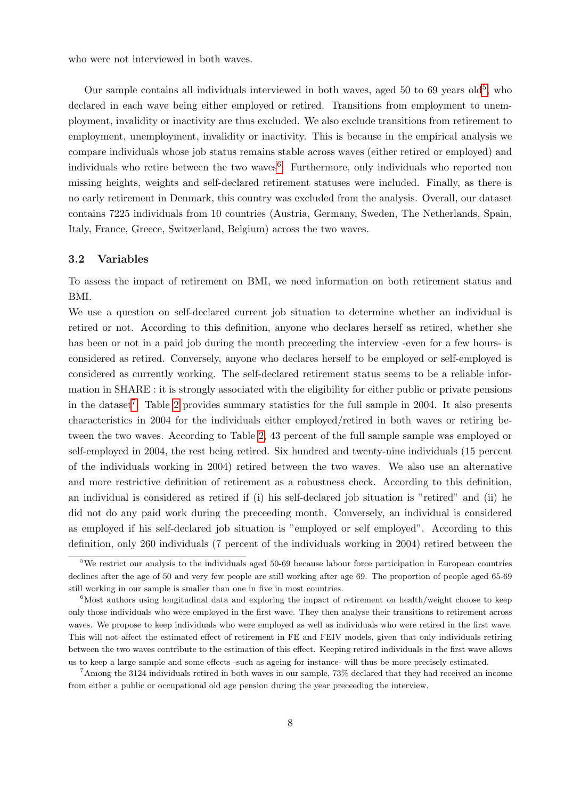who were not interviewed in both waves.

Our sample contains all individuals interviewed in both waves, aged [5](#page-7-0)0 to 69 years old<sup>5</sup>, who declared in each wave being either employed or retired. Transitions from employment to unemployment, invalidity or inactivity are thus excluded. We also exclude transitions from retirement to employment, unemployment, invalidity or inactivity. This is because in the empirical analysis we compare individuals whose job status remains stable across waves (either retired or employed) and individuals who retire between the two waves<sup>[6](#page-7-1)</sup>. Furthermore, only individuals who reported non missing heights, weights and self-declared retirement statuses were included. Finally, as there is no early retirement in Denmark, this country was excluded from the analysis. Overall, our dataset contains 7225 individuals from 10 countries (Austria, Germany, Sweden, The Netherlands, Spain, Italy, France, Greece, Switzerland, Belgium) across the two waves.

#### 3.2 Variables

To assess the impact of retirement on BMI, we need information on both retirement status and BMI.

We use a question on self-declared current job situation to determine whether an individual is retired or not. According to this definition, anyone who declares herself as retired, whether she has been or not in a paid job during the month preceeding the interview -even for a few hours- is considered as retired. Conversely, anyone who declares herself to be employed or self-employed is considered as currently working. The self-declared retirement status seems to be a reliable information in SHARE : it is strongly associated with the eligibility for either public or private pensions in the dataset<sup>[7](#page-7-2)</sup>. Table [2](#page-17-0) provides summary statistics for the full sample in 2004. It also presents characteristics in 2004 for the individuals either employed/retired in both waves or retiring between the two waves. According to Table [2,](#page-17-0) 43 percent of the full sample sample was employed or self-employed in 2004, the rest being retired. Six hundred and twenty-nine individuals (15 percent of the individuals working in 2004) retired between the two waves. We also use an alternative and more restrictive definition of retirement as a robustness check. According to this definition, an individual is considered as retired if (i) his self-declared job situation is "retired" and (ii) he did not do any paid work during the preceeding month. Conversely, an individual is considered as employed if his self-declared job situation is "employed or self employed". According to this definition, only 260 individuals (7 percent of the individuals working in 2004) retired between the

<span id="page-7-0"></span><sup>5</sup>We restrict our analysis to the individuals aged 50-69 because labour force participation in European countries declines after the age of 50 and very few people are still working after age 69. The proportion of people aged 65-69 still working in our sample is smaller than one in five in most countries.

<span id="page-7-1"></span><sup>&</sup>lt;sup>6</sup>Most authors using longitudinal data and exploring the impact of retirement on health/weight choose to keep only those individuals who were employed in the first wave. They then analyse their transitions to retirement across waves. We propose to keep individuals who were employed as well as individuals who were retired in the first wave. This will not affect the estimated effect of retirement in FE and FEIV models, given that only individuals retiring between the two waves contribute to the estimation of this effect. Keeping retired individuals in the first wave allows us to keep a large sample and some effects -such as ageing for instance- will thus be more precisely estimated.

<span id="page-7-2"></span><sup>7</sup>Among the 3124 individuals retired in both waves in our sample, 73% declared that they had received an income from either a public or occupational old age pension during the year preceeding the interview.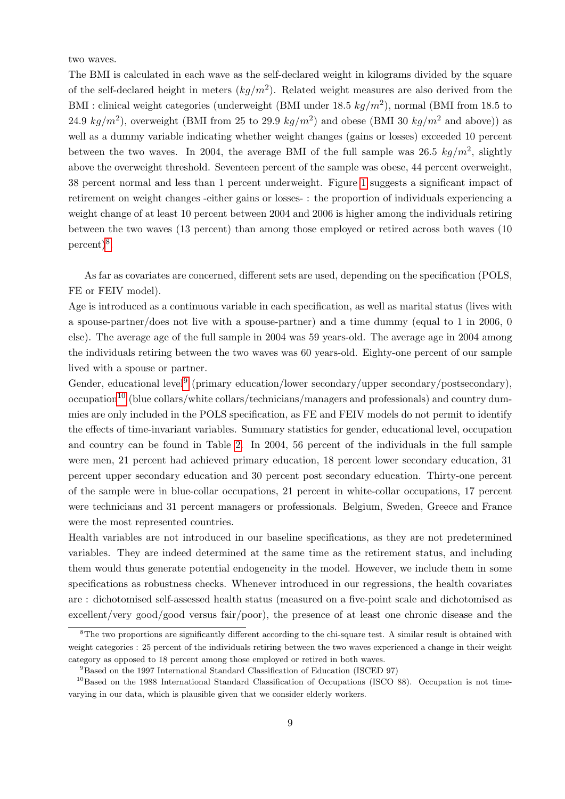two waves.

The BMI is calculated in each wave as the self-declared weight in kilograms divided by the square of the self-declared height in meters  $(kg/m^2)$ . Related weight measures are also derived from the BMI : clinical weight categories (underweight (BMI under 18.5  $kg/m^2$ ), normal (BMI from 18.5 to 24.9  $kg/m^2$ ), overweight (BMI from 25 to 29.9  $kg/m^2$ ) and obese (BMI 30  $kg/m^2$  and above)) as well as a dummy variable indicating whether weight changes (gains or losses) exceeded 10 percent between the two waves. In 2004, the average BMI of the full sample was 26.5  $kg/m^2$ , slightly above the overweight threshold. Seventeen percent of the sample was obese, 44 percent overweight, 38 percent normal and less than 1 percent underweight. Figure [1](#page-15-4) suggests a significant impact of retirement on weight changes -either gains or losses- : the proportion of individuals experiencing a weight change of at least 10 percent between 2004 and 2006 is higher among the individuals retiring between the two waves (13 percent) than among those employed or retired across both waves (10 percent)<sup>[8](#page-8-0)</sup>.

As far as covariates are concerned, different sets are used, depending on the specification (POLS, FE or FEIV model).

Age is introduced as a continuous variable in each specification, as well as marital status (lives with a spouse-partner/does not live with a spouse-partner) and a time dummy (equal to 1 in 2006, 0 else). The average age of the full sample in 2004 was 59 years-old. The average age in 2004 among the individuals retiring between the two waves was 60 years-old. Eighty-one percent of our sample lived with a spouse or partner.

Gender, educational level<sup>[9](#page-8-1)</sup> (primary education/lower secondary/upper secondary/postsecondary), occupation<sup>[10](#page-8-2)</sup> (blue collars/white collars/technicians/managers and professionals) and country dummies are only included in the POLS specification, as FE and FEIV models do not permit to identify the effects of time-invariant variables. Summary statistics for gender, educational level, occupation and country can be found in Table [2.](#page-17-0) In 2004, 56 percent of the individuals in the full sample were men, 21 percent had achieved primary education, 18 percent lower secondary education, 31 percent upper secondary education and 30 percent post secondary education. Thirty-one percent of the sample were in blue-collar occupations, 21 percent in white-collar occupations, 17 percent were technicians and 31 percent managers or professionals. Belgium, Sweden, Greece and France were the most represented countries.

Health variables are not introduced in our baseline specifications, as they are not predetermined variables. They are indeed determined at the same time as the retirement status, and including them would thus generate potential endogeneity in the model. However, we include them in some specifications as robustness checks. Whenever introduced in our regressions, the health covariates are : dichotomised self-assessed health status (measured on a five-point scale and dichotomised as excellent/very good/good versus fair/poor), the presence of at least one chronic disease and the

<span id="page-8-0"></span> ${}^{8}$ The two proportions are significantly different according to the chi-square test. A similar result is obtained with weight categories : 25 percent of the individuals retiring between the two waves experienced a change in their weight category as opposed to 18 percent among those employed or retired in both waves.

<span id="page-8-2"></span><span id="page-8-1"></span><sup>9</sup>Based on the 1997 International Standard Classification of Education (ISCED 97)

<sup>&</sup>lt;sup>10</sup>Based on the 1988 International Standard Classification of Occupations (ISCO 88). Occupation is not timevarying in our data, which is plausible given that we consider elderly workers.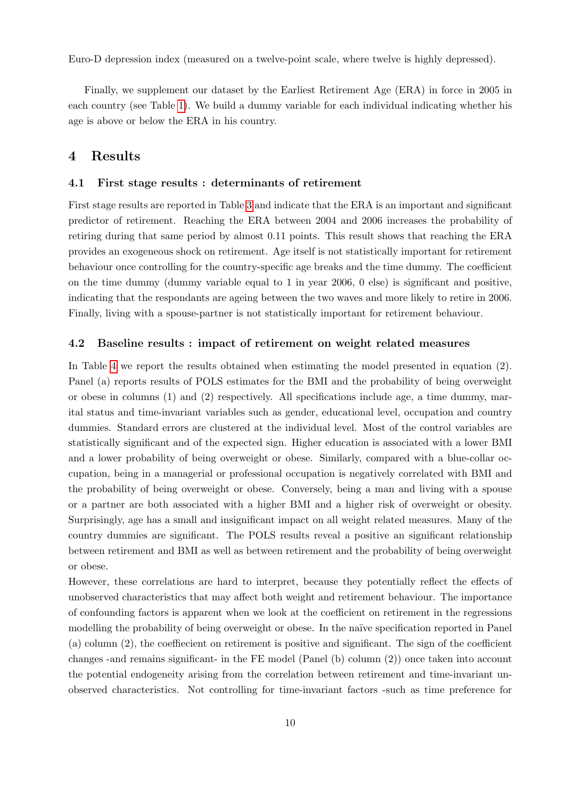Euro-D depression index (measured on a twelve-point scale, where twelve is highly depressed).

Finally, we supplement our dataset by the Earliest Retirement Age (ERA) in force in 2005 in each country (see Table [1\)](#page-16-0). We build a dummy variable for each individual indicating whether his age is above or below the ERA in his country.

### 4 Results

#### 4.1 First stage results : determinants of retirement

First stage results are reported in Table [3](#page-18-0) and indicate that the ERA is an important and significant predictor of retirement. Reaching the ERA between 2004 and 2006 increases the probability of retiring during that same period by almost 0.11 points. This result shows that reaching the ERA provides an exogeneous shock on retirement. Age itself is not statistically important for retirement behaviour once controlling for the country-specific age breaks and the time dummy. The coefficient on the time dummy (dummy variable equal to 1 in year 2006, 0 else) is significant and positive, indicating that the respondants are ageing between the two waves and more likely to retire in 2006. Finally, living with a spouse-partner is not statistically important for retirement behaviour.

#### 4.2 Baseline results : impact of retirement on weight related measures

In Table [4](#page-19-0) we report the results obtained when estimating the model presented in equation (2). Panel (a) reports results of POLS estimates for the BMI and the probability of being overweight or obese in columns  $(1)$  and  $(2)$  respectively. All specifications include age, a time dummy, marital status and time-invariant variables such as gender, educational level, occupation and country dummies. Standard errors are clustered at the individual level. Most of the control variables are statistically significant and of the expected sign. Higher education is associated with a lower BMI and a lower probability of being overweight or obese. Similarly, compared with a blue-collar occupation, being in a managerial or professional occupation is negatively correlated with BMI and the probability of being overweight or obese. Conversely, being a man and living with a spouse or a partner are both associated with a higher BMI and a higher risk of overweight or obesity. Surprisingly, age has a small and insignificant impact on all weight related measures. Many of the country dummies are significant. The POLS results reveal a positive an significant relationship between retirement and BMI as well as between retirement and the probability of being overweight or obese.

However, these correlations are hard to interpret, because they potentially reflect the effects of unobserved characteristics that may affect both weight and retirement behaviour. The importance of confounding factors is apparent when we look at the coefficient on retirement in the regressions modelling the probability of being overweight or obese. In the naïve specification reported in Panel (a) column (2), the coeffiecient on retirement is positive and significant. The sign of the coefficient changes -and remains significant- in the FE model (Panel (b) column (2)) once taken into account the potential endogeneity arising from the correlation between retirement and time-invariant unobserved characteristics. Not controlling for time-invariant factors -such as time preference for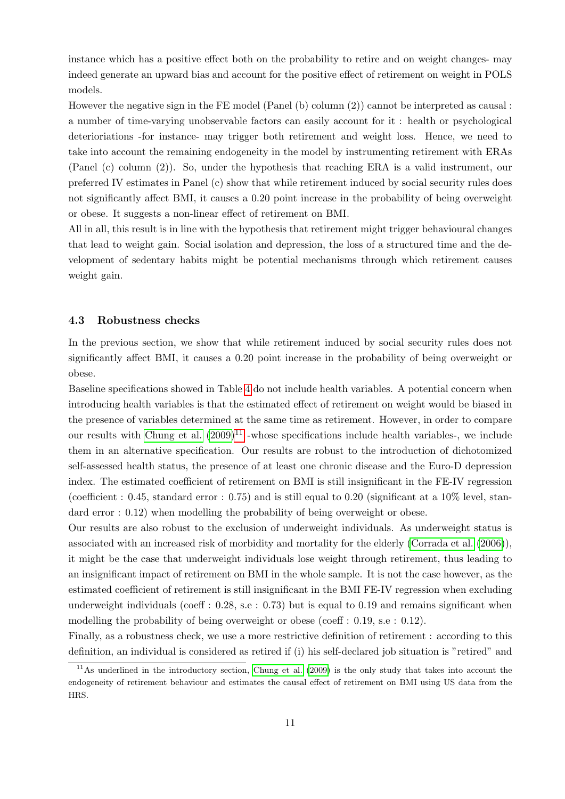instance which has a positive effect both on the probability to retire and on weight changes- may indeed generate an upward bias and account for the positive effect of retirement on weight in POLS models.

However the negative sign in the FE model (Panel (b) column (2)) cannot be interpreted as causal : a number of time-varying unobservable factors can easily account for it : health or psychological deterioriations -for instance- may trigger both retirement and weight loss. Hence, we need to take into account the remaining endogeneity in the model by instrumenting retirement with ERAs (Panel (c) column (2)). So, under the hypothesis that reaching ERA is a valid instrument, our preferred IV estimates in Panel (c) show that while retirement induced by social security rules does not significantly affect BMI, it causes a 0.20 point increase in the probability of being overweight or obese. It suggests a non-linear effect of retirement on BMI.

All in all, this result is in line with the hypothesis that retirement might trigger behavioural changes that lead to weight gain. Social isolation and depression, the loss of a structured time and the development of sedentary habits might be potential mechanisms through which retirement causes weight gain.

#### 4.3 Robustness checks

In the previous section, we show that while retirement induced by social security rules does not significantly affect BMI, it causes a 0.20 point increase in the probability of being overweight or obese.

Baseline specifications showed in Table [4](#page-19-0) do not include health variables. A potential concern when introducing health variables is that the estimated effect of retirement on weight would be biased in the presence of variables determined at the same time as retirement. However, in order to compare our results with [Chung et al.](#page-12-5)  $(2009)^{11}$  $(2009)^{11}$  $(2009)^{11}$  $(2009)^{11}$  -whose specifications include health variables-, we include them in an alternative specification. Our results are robust to the introduction of dichotomized self-assessed health status, the presence of at least one chronic disease and the Euro-D depression index. The estimated coefficient of retirement on BMI is still insignificant in the FE-IV regression (coefficient : 0.45, standard error : 0.75) and is still equal to 0.20 (significant at a  $10\%$  level, standard error : 0.12) when modelling the probability of being overweight or obese.

Our results are also robust to the exclusion of underweight individuals. As underweight status is associated with an increased risk of morbidity and mortality for the elderly [\(Corrada et al.](#page-12-14) [\(2006\)](#page-12-14)), it might be the case that underweight individuals lose weight through retirement, thus leading to an insignificant impact of retirement on BMI in the whole sample. It is not the case however, as the estimated coefficient of retirement is still insignificant in the BMI FE-IV regression when excluding underweight individuals (coeff : 0.28, s.e : 0.73) but is equal to 0.19 and remains significant when modelling the probability of being overweight or obese (coeff : 0.19, s.e : 0.12).

Finally, as a robustness check, we use a more restrictive definition of retirement : according to this definition, an individual is considered as retired if (i) his self-declared job situation is "retired" and

<span id="page-10-0"></span> $11\text{As}$  underlined in the introductory section, [Chung et al.](#page-12-5) [\(2009\)](#page-12-5) is the only study that takes into account the endogeneity of retirement behaviour and estimates the causal effect of retirement on BMI using US data from the HRS.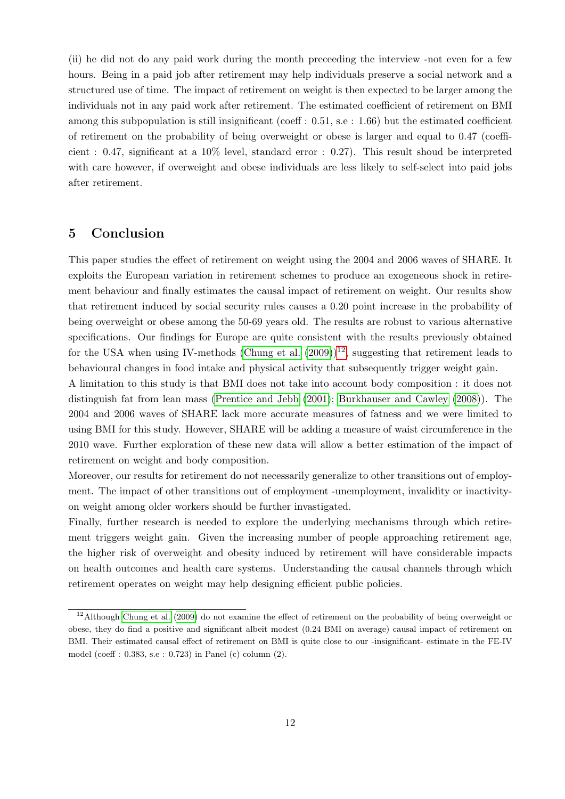(ii) he did not do any paid work during the month preceeding the interview -not even for a few hours. Being in a paid job after retirement may help individuals preserve a social network and a structured use of time. The impact of retirement on weight is then expected to be larger among the individuals not in any paid work after retirement. The estimated coefficient of retirement on BMI among this subpopulation is still insignificant (coeff : 0.51, s.e : 1.66) but the estimated coefficient of retirement on the probability of being overweight or obese is larger and equal to 0.47 (coefficient : 0.47, significant at a 10% level, standard error : 0.27). This result shoud be interpreted with care however, if overweight and obese individuals are less likely to self-select into paid jobs after retirement.

# 5 Conclusion

This paper studies the effect of retirement on weight using the 2004 and 2006 waves of SHARE. It exploits the European variation in retirement schemes to produce an exogeneous shock in retirement behaviour and finally estimates the causal impact of retirement on weight. Our results show that retirement induced by social security rules causes a 0.20 point increase in the probability of being overweight or obese among the 50-69 years old. The results are robust to various alternative specifications. Our findings for Europe are quite consistent with the results previously obtained for the USA when using IV-methods [\(Chung et al.](#page-12-5)  $(2009)$ )<sup>[12](#page-11-0)</sup>, suggesting that retirement leads to behavioural changes in food intake and physical activity that subsequently trigger weight gain.

A limitation to this study is that BMI does not take into account body composition : it does not distinguish fat from lean mass [\(Prentice and Jebb](#page-14-13) [\(2001\)](#page-14-13); [Burkhauser and Cawley](#page-12-15) [\(2008\)](#page-12-15)). The 2004 and 2006 waves of SHARE lack more accurate measures of fatness and we were limited to using BMI for this study. However, SHARE will be adding a measure of waist circumference in the 2010 wave. Further exploration of these new data will allow a better estimation of the impact of retirement on weight and body composition.

Moreover, our results for retirement do not necessarily generalize to other transitions out of employment. The impact of other transitions out of employment -unemployment, invalidity or inactivityon weight among older workers should be further invastigated.

Finally, further research is needed to explore the underlying mechanisms through which retirement triggers weight gain. Given the increasing number of people approaching retirement age, the higher risk of overweight and obesity induced by retirement will have considerable impacts on health outcomes and health care systems. Understanding the causal channels through which retirement operates on weight may help designing efficient public policies.

<span id="page-11-0"></span><sup>&</sup>lt;sup>12</sup>Although [Chung et al.](#page-12-5) [\(2009\)](#page-12-5) do not examine the effect of retirement on the probability of being overweight or obese, they do find a positive and significant albeit modest (0.24 BMI on average) causal impact of retirement on BMI. Their estimated causal effect of retirement on BMI is quite close to our -insignificant- estimate in the FE-IV model (coeff : 0.383, s.e : 0.723) in Panel (c) column (2).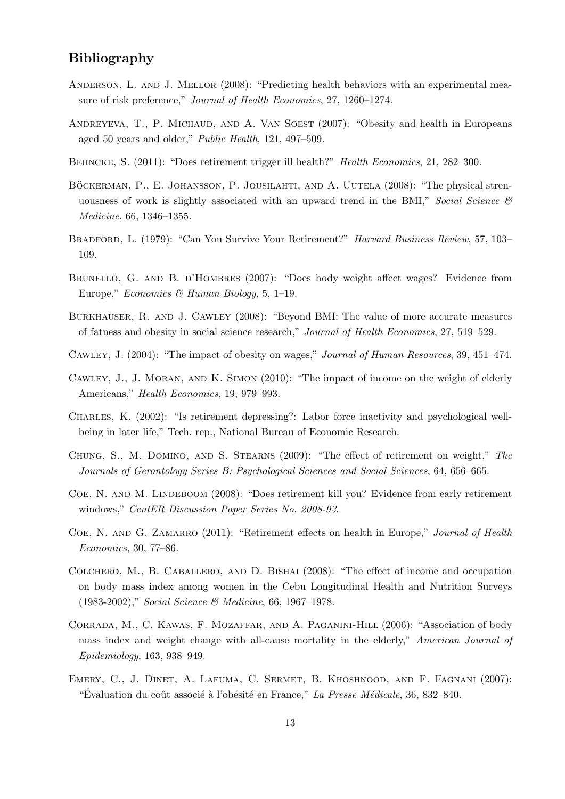# Bibliography

- <span id="page-12-6"></span>ANDERSON, L. AND J. MELLOR (2008): "Predicting health behaviors with an experimental measure of risk preference," Journal of Health Economics, 27, 1260–1274.
- <span id="page-12-1"></span>ANDREYEVA, T., P. MICHAUD, AND A. VAN SOEST (2007): "Obesity and health in Europeans aged 50 years and older," Public Health, 121, 497–509.
- <span id="page-12-10"></span>BEHNCKE, S. (2011): "Does retirement trigger ill health?" Health Economics, 21, 282–300.
- <span id="page-12-11"></span>BÖCKERMAN, P., E. JOHANSSON, P. JOUSILAHTI, AND A. UUTELA (2008): "The physical strenuousness of work is slightly associated with an upward trend in the BMI," Social Science  $\mathcal{C}$ Medicine, 66, 1346–1355.
- <span id="page-12-2"></span>BRADFORD, L. (1979): "Can You Survive Your Retirement?" Harvard Business Review, 57, 103– 109.
- <span id="page-12-4"></span>BRUNELLO, G. AND B. D'HOMBRES (2007): "Does body weight affect wages? Evidence from Europe," Economics & Human Biology, 5, 1–19.
- <span id="page-12-15"></span>Burkhauser, R. and J. Cawley (2008): "Beyond BMI: The value of more accurate measures of fatness and obesity in social science research," Journal of Health Economics, 27, 519–529.
- <span id="page-12-3"></span>Cawley, J. (2004): "The impact of obesity on wages," Journal of Human Resources, 39, 451–474.
- <span id="page-12-12"></span>Cawley, J., J. Moran, and K. Simon (2010): "The impact of income on the weight of elderly Americans," Health Economics, 19, 979–993.
- <span id="page-12-7"></span>Charles, K. (2002): "Is retirement depressing?: Labor force inactivity and psychological wellbeing in later life," Tech. rep., National Bureau of Economic Research.
- <span id="page-12-5"></span>Chung, S., M. Domino, and S. Stearns (2009): "The effect of retirement on weight," The Journals of Gerontology Series B: Psychological Sciences and Social Sciences, 64, 656–665.
- <span id="page-12-8"></span>Coe, N. and M. Lindeboom (2008): "Does retirement kill you? Evidence from early retirement windows," CentER Discussion Paper Series No. 2008-93.
- <span id="page-12-9"></span>COE, N. AND G. ZAMARRO (2011): "Retirement effects on health in Europe," Journal of Health Economics, 30, 77–86.
- <span id="page-12-13"></span>Colchero, M., B. Caballero, and D. Bishai (2008): "The effect of income and occupation on body mass index among women in the Cebu Longitudinal Health and Nutrition Surveys (1983-2002)," Social Science & Medicine, 66, 1967–1978.
- <span id="page-12-14"></span>Corrada, M., C. Kawas, F. Mozaffar, and A. Paganini-Hill (2006): "Association of body mass index and weight change with all-cause mortality in the elderly," American Journal of Epidemiology, 163, 938–949.
- <span id="page-12-0"></span>Emery, C., J. Dinet, A. Lafuma, C. Sermet, B. Khoshnood, and F. Fagnani (2007): "Évaluation du coût associé à l'obésité en France," La Presse Médicale, 36, 832–840.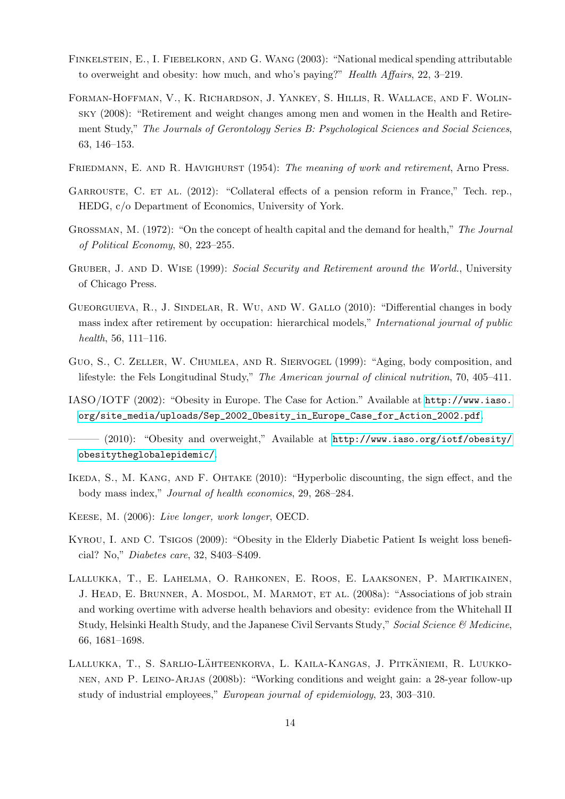- <span id="page-13-2"></span>FINKELSTEIN, E., I. FIEBELKORN, AND G. WANG (2003): "National medical spending attributable to overweight and obesity: how much, and who's paying?" Health Affairs, 22, 3–219.
- <span id="page-13-7"></span>Forman-Hoffman, V., K. Richardson, J. Yankey, S. Hillis, R. Wallace, and F. Wolinsky (2008): "Retirement and weight changes among men and women in the Health and Retirement Study," The Journals of Gerontology Series B: Psychological Sciences and Social Sciences, 63, 146–153.
- <span id="page-13-6"></span>FRIEDMANN, E. AND R. HAVIGHURST (1954): The meaning of work and retirement, Arno Press.
- <span id="page-13-10"></span>GARROUSTE, C. ET AL. (2012): "Collateral effects of a pension reform in France," Tech. rep., HEDG, c/o Department of Economics, University of York.
- <span id="page-13-5"></span>Grossman, M. (1972): "On the concept of health capital and the demand for health," The Journal of Political Economy, 80, 223–255.
- <span id="page-13-13"></span>GRUBER, J. AND D. WISE (1999): Social Security and Retirement around the World., University of Chicago Press.
- <span id="page-13-8"></span>Gueorguieva, R., J. Sindelar, R. Wu, and W. Gallo (2010): "Differential changes in body mass index after retirement by occupation: hierarchical models," International journal of public health, 56, 111–116.
- <span id="page-13-3"></span>Guo, S., C. Zeller, W. Chumlea, and R. Siervogel (1999): "Aging, body composition, and lifestyle: the Fels Longitudinal Study," The American journal of clinical nutrition, 70, 405–411.
- <span id="page-13-1"></span>IASO/IOTF (2002): "Obesity in Europe. The Case for Action." Available at [http://www.iaso.](http://www.iaso.org/site_media/uploads/Sep_2002_Obesity_in_Europe_Case_for_Action_2002.pdf) [org/site\\_media/uploads/Sep\\_2002\\_Obesity\\_in\\_Europe\\_Case\\_for\\_Action\\_2002.pdf](http://www.iaso.org/site_media/uploads/Sep_2002_Obesity_in_Europe_Case_for_Action_2002.pdf).
- <span id="page-13-0"></span>——— (2010): "Obesity and overweight," Available at [http://www.iaso.org/iotf/obesity/](http://www.iaso.org/iotf/obesity/obesitytheglobalepidemic/) [obesitytheglobalepidemic/](http://www.iaso.org/iotf/obesity/obesitytheglobalepidemic/).
- <span id="page-13-9"></span>Ikeda, S., M. Kang, and F. Ohtake (2010): "Hyperbolic discounting, the sign effect, and the body mass index," Journal of health economics, 29, 268–284.
- <span id="page-13-14"></span>Keese, M. (2006): Live longer, work longer, OECD.
- <span id="page-13-4"></span>Kyrou, I. and C. Tsigos (2009): "Obesity in the Elderly Diabetic Patient Is weight loss beneficial? No," Diabetes care, 32, S403–S409.
- <span id="page-13-12"></span>Lallukka, T., E. Lahelma, O. Rahkonen, E. Roos, E. Laaksonen, P. Martikainen, J. HEAD, E. BRUNNER, A. MOSDOL, M. MARMOT, ET AL. (2008a): "Associations of job strain and working overtime with adverse health behaviors and obesity: evidence from the Whitehall II Study, Helsinki Health Study, and the Japanese Civil Servants Study," Social Science & Medicine, 66, 1681–1698.
- <span id="page-13-11"></span>LALLUKKA, T., S. SARLIO-LÄHTEENKORVA, L. KAILA-KANGAS, J. PITKÄNIEMI, R. LUUKKOnen, and P. Leino-Arjas (2008b): "Working conditions and weight gain: a 28-year follow-up study of industrial employees," European journal of epidemiology, 23, 303–310.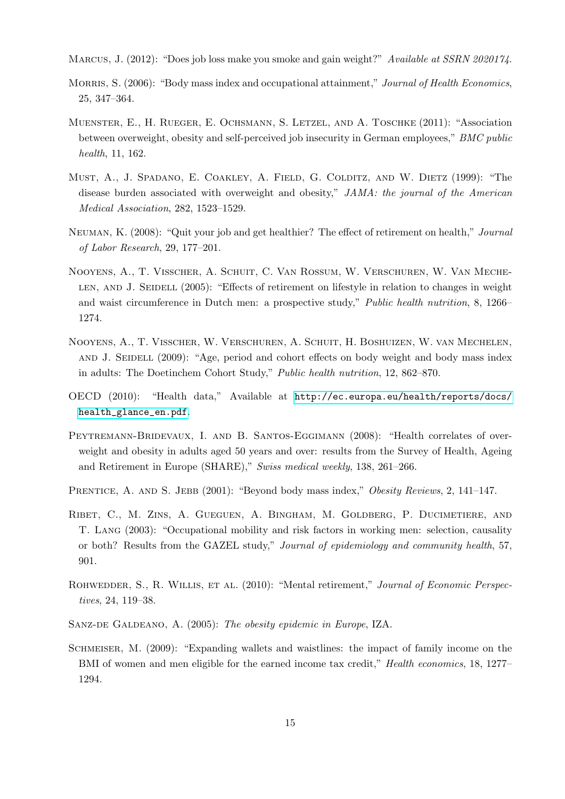<span id="page-14-9"></span>MARCUS, J. (2012): "Does job loss make you smoke and gain weight?" Available at SSRN 2020174.

- <span id="page-14-5"></span>MORRIS, S. (2006): "Body mass index and occupational attainment," Journal of Health Economics, 25, 347–364.
- <span id="page-14-11"></span>Muenster, E., H. Rueger, E. Ochsmann, S. Letzel, and A. Toschke (2011): "Association between overweight, obesity and self-perceived job insecurity in German employees," BMC public health, 11, 162.
- <span id="page-14-1"></span>Must, A., J. Spadano, E. Coakley, A. Field, G. Colditz, and W. Dietz (1999): "The disease burden associated with overweight and obesity," JAMA: the journal of the American Medical Association, 282, 1523–1529.
- <span id="page-14-7"></span>Neuman, K. (2008): "Quit your job and get healthier? The effect of retirement on health," Journal of Labor Research, 29, 177–201.
- <span id="page-14-6"></span>Nooyens, A., T. Visscher, A. Schuit, C. Van Rossum, W. Verschuren, W. Van Meche-LEN, AND J. SEIDELL (2005): "Effects of retirement on lifestyle in relation to changes in weight and waist circumference in Dutch men: a prospective study," Public health nutrition, 8, 1266– 1274.
- <span id="page-14-4"></span>Nooyens, A., T. Visscher, W. Verschuren, A. Schuit, H. Boshuizen, W. van Mechelen, AND J. SEIDELL (2009): "Age, period and cohort effects on body weight and body mass index in adults: The Doetinchem Cohort Study," Public health nutrition, 12, 862–870.
- <span id="page-14-0"></span>OECD (2010): "Health data," Available at [http://ec.europa.eu/health/reports/docs/](http://ec.europa.eu/health/reports/docs/health_glance_en.pdf) [health\\_glance\\_en.pdf](http://ec.europa.eu/health/reports/docs/health_glance_en.pdf).
- <span id="page-14-3"></span>PEYTREMANN-BRIDEVAUX, I. AND B. SANTOS-EGGIMANN (2008): "Health correlates of overweight and obesity in adults aged 50 years and over: results from the Survey of Health, Ageing and Retirement in Europe (SHARE)," Swiss medical weekly, 138, 261–266.
- <span id="page-14-13"></span>PRENTICE, A. AND S. JEBB (2001): "Beyond body mass index," Obesity Reviews, 2, 141–147.
- <span id="page-14-10"></span>Ribet, C., M. Zins, A. Gueguen, A. Bingham, M. Goldberg, P. Ducimetiere, and T. Lang (2003): "Occupational mobility and risk factors in working men: selection, causality or both? Results from the GAZEL study," Journal of epidemiology and community health, 57, 901.
- <span id="page-14-8"></span>ROHWEDDER, S., R. WILLIS, ET AL. (2010): "Mental retirement," Journal of Economic Perspectives, 24, 119–38.
- <span id="page-14-2"></span>SANZ-DE GALDEANO, A. (2005): The obesity epidemic in Europe, IZA.
- <span id="page-14-12"></span>SCHMEISER, M. (2009): "Expanding wallets and waistlines: the impact of family income on the BMI of women and men eligible for the earned income tax credit," *Health economics*, 18, 1277– 1294.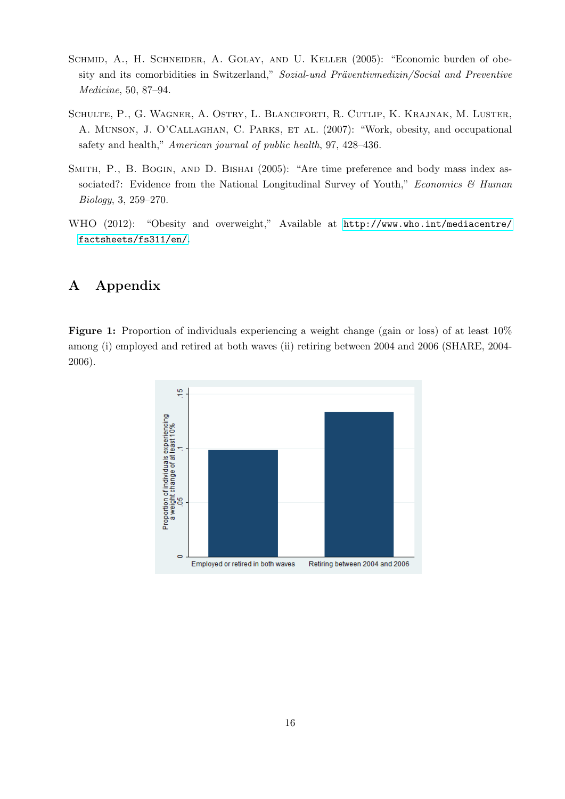- <span id="page-15-1"></span>SCHMID, A., H. SCHNEIDER, A. GOLAY, AND U. KELLER (2005): "Economic burden of obesity and its comorbidities in Switzerland," Sozial-und Präventivmedizin/Social and Preventive Medicine, 50, 87–94.
- <span id="page-15-2"></span>Schulte, P., G. Wagner, A. Ostry, L. Blanciforti, R. Cutlip, K. Krajnak, M. Luster, A. MUNSON, J. O'CALLAGHAN, C. PARKS, ET AL. (2007): "Work, obesity, and occupational safety and health," American journal of public health, 97, 428–436.
- <span id="page-15-3"></span>SMITH, P., B. BOGIN, AND D. BISHAI (2005): "Are time preference and body mass index associated?: Evidence from the National Longitudinal Survey of Youth," Economics  $\mathcal C$  Human Biology, 3, 259–270.
- <span id="page-15-0"></span>WHO (2012): "Obesity and overweight," Available at [http://www.who.int/mediacentre/](http://www.who.int/mediacentre/factsheets/fs311/en/) [factsheets/fs311/en/](http://www.who.int/mediacentre/factsheets/fs311/en/).

# A Appendix

<span id="page-15-4"></span>Figure 1: Proportion of individuals experiencing a weight change (gain or loss) of at least  $10\%$ among (i) employed and retired at both waves (ii) retiring between 2004 and 2006 (SHARE, 2004- 2006).

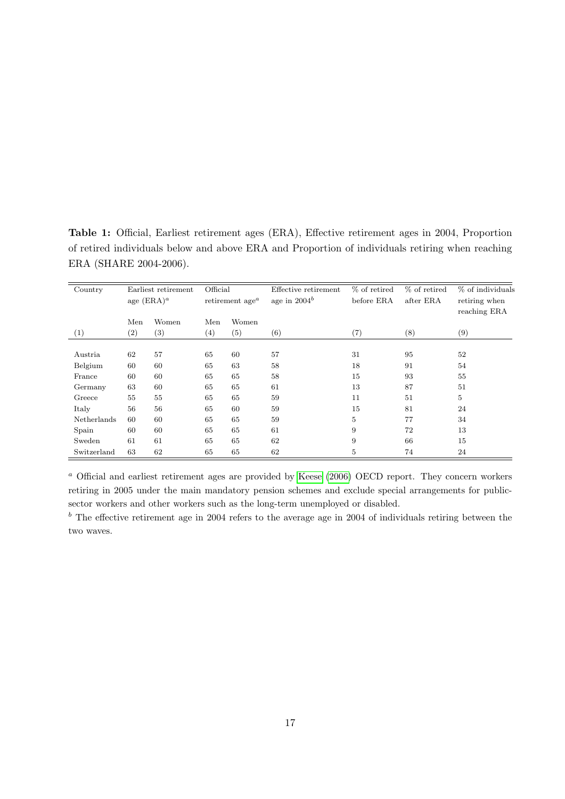<span id="page-16-0"></span>Table 1: Official, Earliest retirement ages (ERA), Effective retirement ages in 2004, Proportion of retired individuals below and above ERA and Proportion of individuals retiring when reaching ERA (SHARE 2004-2006).

| Country     | Earliest retirement |       | Official                                 |       | Effective retirement | % of retired | % of retired | % of individuals |
|-------------|---------------------|-------|------------------------------------------|-------|----------------------|--------------|--------------|------------------|
|             | age $(ERA)^a$       |       | retirement age <sup><math>a</math></sup> |       | age in $2004^b$      | before ERA   | after ERA    | retiring when    |
|             |                     |       |                                          |       |                      |              |              | reaching ERA     |
|             | Men                 | Women | Men                                      | Women |                      |              |              |                  |
| (1)         | $\left( 2\right)$   | (3)   | (4)                                      | (5)   | (6)                  | (7)          | (8)          | (9)              |
|             |                     |       |                                          |       |                      |              |              |                  |
| Austria     | 62                  | 57    | 65                                       | 60    | 57                   | 31           | 95           | 52               |
| Belgium     | 60                  | 60    | 65                                       | 63    | 58                   | 18           | 91           | 54               |
| France      | 60                  | 60    | 65                                       | 65    | 58                   | 15           | 93           | 55               |
| Germany     | 63                  | 60    | 65                                       | 65    | 61                   | 13           | 87           | 51               |
| Greece      | 55                  | 55    | 65                                       | 65    | 59                   | 11           | 51           | 5                |
| Italy       | 56                  | 56    | 65                                       | 60    | 59                   | 15           | 81           | 24               |
| Netherlands | 60                  | 60    | 65                                       | 65    | 59                   | 5            | 77           | 34               |
| Spain       | 60                  | 60    | 65                                       | 65    | 61                   | 9            | 72           | 13               |
| Sweden      | 61                  | 61    | 65                                       | 65    | 62                   | 9            | 66           | 15               |
| Switzerland | 63                  | 62    | 65                                       | 65    | 62                   | 5            | 74           | 24               |

<sup>a</sup> Official and earliest retirement ages are provided by [Keese](#page-13-14) [\(2006\)](#page-13-14) OECD report. They concern workers retiring in 2005 under the main mandatory pension schemes and exclude special arrangements for publicsector workers and other workers such as the long-term unemployed or disabled.

 $<sup>b</sup>$  The effective retirement age in 2004 refers to the average age in 2004 of individuals retiring between the</sup> two waves.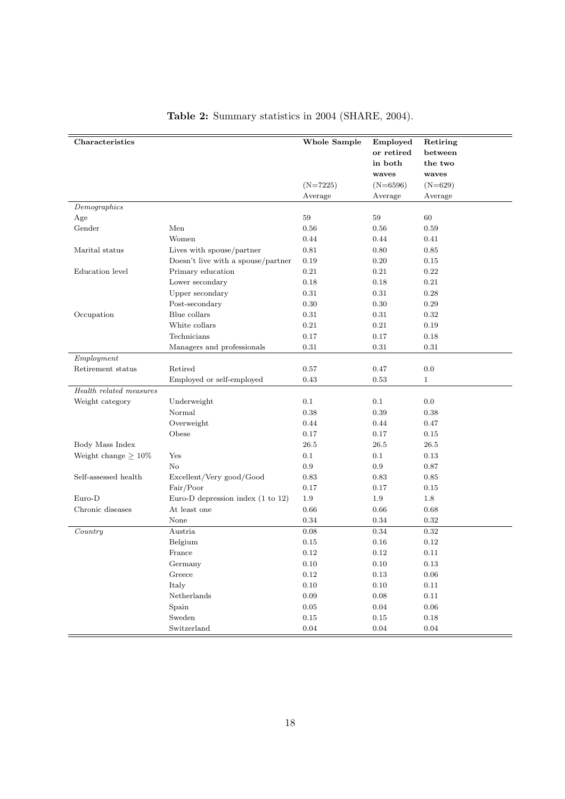| Characteristics           |                                              | <b>Whole Sample</b> | Employed   | Retiring     |
|---------------------------|----------------------------------------------|---------------------|------------|--------------|
|                           |                                              |                     | or retired | between      |
|                           |                                              |                     | in both    | the two      |
|                           |                                              |                     | waves      | waves        |
|                           |                                              | $(N=7225)$          | $(N=6596)$ | $(N=629)$    |
|                           |                                              | Average             | Average    | Average      |
| Demographics              |                                              |                     |            |              |
| Age                       |                                              | 59                  | 59         | 60           |
| Gender                    | Men                                          | 0.56                | 0.56       | 0.59         |
|                           | Women                                        | 0.44                | 0.44       | 0.41         |
| Marital status            | Lives with spouse/partner                    | 0.81                | 0.80       | 0.85         |
|                           | Doesn't live with a spouse/partner           | 0.19                | 0.20       | 0.15         |
| Education level           | Primary education                            | 0.21                | 0.21       | 0.22         |
|                           | Lower secondary                              | 0.18                | 0.18       | 0.21         |
|                           | Upper secondary                              | $\rm 0.31$          | $0.31\,$   | 0.28         |
|                           | Post-secondary                               | 0.30                | 0.30       | 0.29         |
| Occupation                | Blue collars                                 | 0.31                | 0.31       | 0.32         |
|                           | White collars                                | 0.21                | 0.21       | 0.19         |
|                           | Technicians                                  | 0.17                | 0.17       | 0.18         |
|                           | Managers and professionals                   | 0.31                | 0.31       | 0.31         |
| Employment                |                                              |                     |            |              |
| Retirement status         | Retired                                      | 0.57                | 0.47       | 0.0          |
|                           | Employed or self-employed                    | 0.43                | 0.53       | $\mathbf{1}$ |
| Health related measures   |                                              |                     |            |              |
| Weight category           | Underweight                                  | 0.1                 | 0.1        | 0.0          |
|                           | Normal                                       | 0.38                | 0.39       | 0.38         |
|                           | Overweight                                   | 0.44                | 0.44       | 0.47         |
|                           | Obese                                        | 0.17                | 0.17       | 0.15         |
| Body Mass Index           |                                              | 26.5                | 26.5       | 26.5         |
| Weight change $\geq 10\%$ | Yes                                          | 0.1                 | 0.1        | 0.13         |
|                           | $\rm No$                                     | 0.9                 | 0.9        | 0.87         |
| Self-assessed health      | Excellent/Very good/Good                     | 0.83                | 0.83       | 0.85         |
|                           | Fair/Door                                    | 0.17                | 0.17       | 0.15         |
| Euro-D                    | Euro-D depression index $(1 \text{ to } 12)$ | 1.9                 | 1.9        | 1.8          |
| Chronic diseases          | At least one                                 | 0.66                | $0.66\,$   | 0.68         |
|                           | None                                         | 0.34                | 0.34       | $0.32\,$     |
| Country                   | Austria                                      | 0.08                | 0.34       | 0.32         |
|                           | Belgium                                      | 0.15                | 0.16       | 0.12         |
|                           | France                                       | 0.12                | 0.12       | 0.11         |
|                           | Germany                                      | $0.10\,$            | $0.10\,$   | $0.13\,$     |
|                           | Greece                                       | $0.12\,$            | $0.13\,$   | $0.06\,$     |
|                           | Italy                                        | 0.10                | 0.10       | $0.11\,$     |
|                           | Netherlands                                  | $\rm 0.09$          | $0.08\,$   | $0.11\,$     |
|                           | Spain                                        | $\rm 0.05$          | $0.04\,$   | $0.06\,$     |
|                           | Sweden                                       | $0.15\,$            | 0.15       | 0.18         |
|                           | Switzerland                                  | 0.04                | 0.04       | 0.04         |

# <span id="page-17-0"></span>Table 2: Summary statistics in 2004 (SHARE, 2004).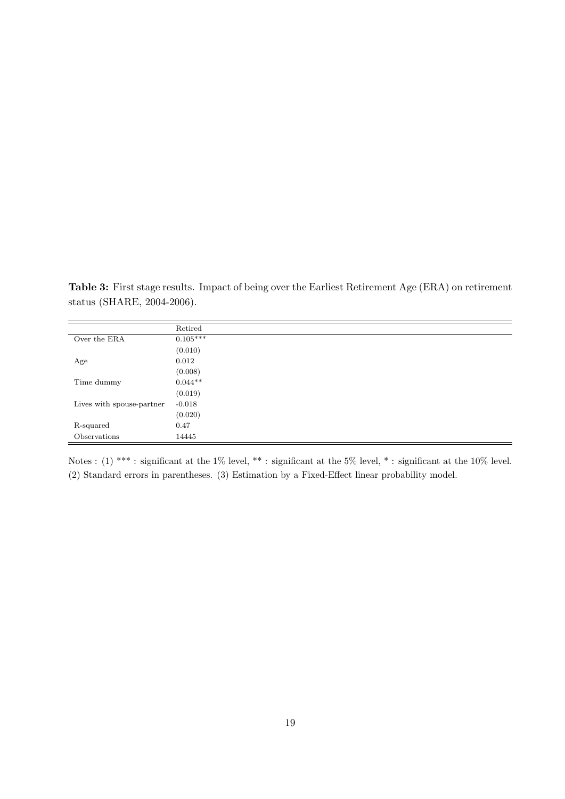<span id="page-18-0"></span>Table 3: First stage results. Impact of being over the Earliest Retirement Age (ERA) on retirement status (SHARE, 2004-2006).

|                           | Retired    |
|---------------------------|------------|
| Over the ERA              | $0.105***$ |
|                           | (0.010)    |
| Age                       | 0.012      |
|                           | (0.008)    |
| Time dummy                | $0.044**$  |
|                           | (0.019)    |
| Lives with spouse-partner | $-0.018$   |
|                           | (0.020)    |
| R-squared                 | 0.47       |
| Observations              | 14445      |

Notes : (1) \*\*\* : significant at the 1% level, \*\* : significant at the 5% level, \* : significant at the 10% level. (2) Standard errors in parentheses. (3) Estimation by a Fixed-Effect linear probability model.